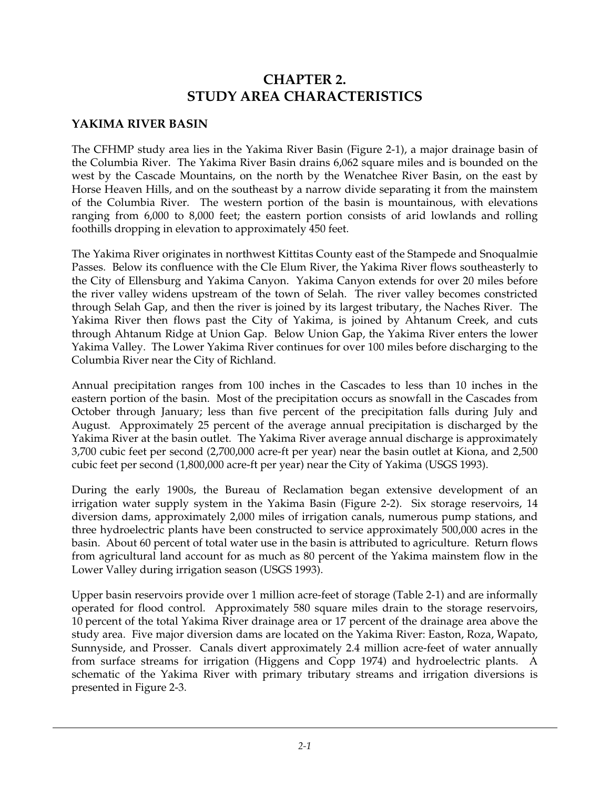# **CHAPTER 2. STUDY AREA CHARACTERISTICS**

#### **YAKIMA RIVER BASIN**

The CFHMP study area lies in the Yakima River Basin (Figure 2-1), a major drainage basin of the Columbia River. The Yakima River Basin drains 6,062 square miles and is bounded on the west by the Cascade Mountains, on the north by the Wenatchee River Basin, on the east by Horse Heaven Hills, and on the southeast by a narrow divide separating it from the mainstem of the Columbia River. The western portion of the basin is mountainous, with elevations ranging from 6,000 to 8,000 feet; the eastern portion consists of arid lowlands and rolling foothills dropping in elevation to approximately 450 feet.

The Yakima River originates in northwest Kittitas County east of the Stampede and Snoqualmie Passes. Below its confluence with the Cle Elum River, the Yakima River flows southeasterly to the City of Ellensburg and Yakima Canyon. Yakima Canyon extends for over 20 miles before the river valley widens upstream of the town of Selah. The river valley becomes constricted through Selah Gap, and then the river is joined by its largest tributary, the Naches River. The Yakima River then flows past the City of Yakima, is joined by Ahtanum Creek, and cuts through Ahtanum Ridge at Union Gap. Below Union Gap, the Yakima River enters the lower Yakima Valley. The Lower Yakima River continues for over 100 miles before discharging to the Columbia River near the City of Richland.

Annual precipitation ranges from 100 inches in the Cascades to less than 10 inches in the eastern portion of the basin. Most of the precipitation occurs as snowfall in the Cascades from October through January; less than five percent of the precipitation falls during July and August. Approximately 25 percent of the average annual precipitation is discharged by the Yakima River at the basin outlet. The Yakima River average annual discharge is approximately 3,700 cubic feet per second (2,700,000 acre-ft per year) near the basin outlet at Kiona, and 2,500 cubic feet per second (1,800,000 acre-ft per year) near the City of Yakima (USGS 1993).

During the early 1900s, the Bureau of Reclamation began extensive development of an irrigation water supply system in the Yakima Basin (Figure 2-2). Six storage reservoirs, 14 diversion dams, approximately 2,000 miles of irrigation canals, numerous pump stations, and three hydroelectric plants have been constructed to service approximately 500,000 acres in the basin. About 60 percent of total water use in the basin is attributed to agriculture. Return flows from agricultural land account for as much as 80 percent of the Yakima mainstem flow in the Lower Valley during irrigation season (USGS 1993).

Upper basin reservoirs provide over 1 million acre-feet of storage (Table 2-1) and are informally operated for flood control. Approximately 580 square miles drain to the storage reservoirs, 10 percent of the total Yakima River drainage area or 17 percent of the drainage area above the study area. Five major diversion dams are located on the Yakima River: Easton, Roza, Wapato, Sunnyside, and Prosser. Canals divert approximately 2.4 million acre-feet of water annually from surface streams for irrigation (Higgens and Copp 1974) and hydroelectric plants. A schematic of the Yakima River with primary tributary streams and irrigation diversions is presented in Figure 2-3.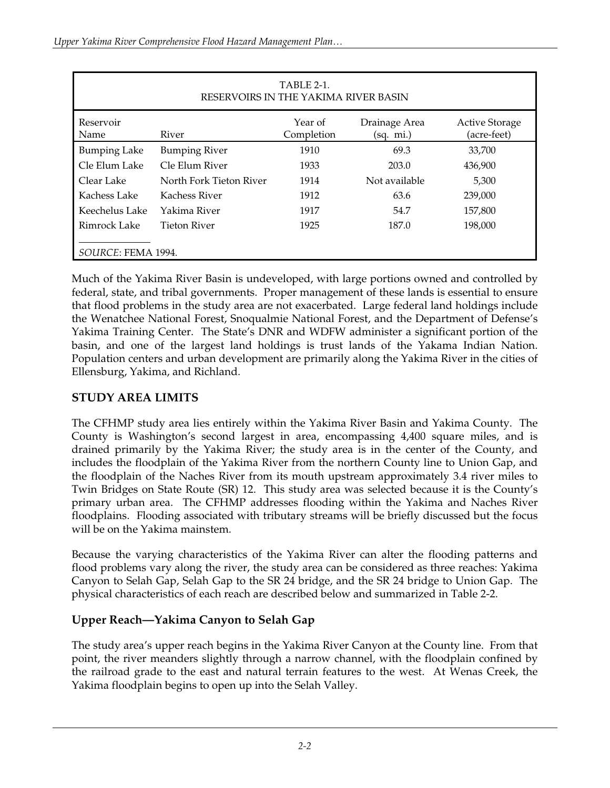| TABLE 2-1.<br>RESERVOIRS IN THE YAKIMA RIVER BASIN |                         |                       |                            |                                      |  |  |  |
|----------------------------------------------------|-------------------------|-----------------------|----------------------------|--------------------------------------|--|--|--|
| Reservoir<br>Name                                  | River                   | Year of<br>Completion | Drainage Area<br>(sq. mi.) | <b>Active Storage</b><br>(acre-feet) |  |  |  |
| <b>Bumping Lake</b>                                | <b>Bumping River</b>    | 1910                  | 69.3                       | 33,700                               |  |  |  |
| Cle Elum Lake                                      | Cle Elum River          | 1933                  | 203.0                      | 436,900                              |  |  |  |
| Clear Lake                                         | North Fork Tieton River | 1914                  | Not available              | 5,300                                |  |  |  |
| Kachess Lake                                       | Kachess River           | 1912                  | 63.6                       | 239,000                              |  |  |  |
| Keechelus Lake                                     | Yakima River            | 1917                  | 54.7                       | 157,800                              |  |  |  |
| Rimrock Lake                                       | Tieton River            | 1925                  | 187.0                      | 198,000                              |  |  |  |
| SOURCE: FEMA 1994.                                 |                         |                       |                            |                                      |  |  |  |

Much of the Yakima River Basin is undeveloped, with large portions owned and controlled by federal, state, and tribal governments. Proper management of these lands is essential to ensure that flood problems in the study area are not exacerbated. Large federal land holdings include the Wenatchee National Forest, Snoqualmie National Forest, and the Department of Defense's Yakima Training Center. The State's DNR and WDFW administer a significant portion of the basin, and one of the largest land holdings is trust lands of the Yakama Indian Nation. Population centers and urban development are primarily along the Yakima River in the cities of Ellensburg, Yakima, and Richland.

#### **STUDY AREA LIMITS**

The CFHMP study area lies entirely within the Yakima River Basin and Yakima County. The County is Washington's second largest in area, encompassing 4,400 square miles, and is drained primarily by the Yakima River; the study area is in the center of the County, and includes the floodplain of the Yakima River from the northern County line to Union Gap, and the floodplain of the Naches River from its mouth upstream approximately 3.4 river miles to Twin Bridges on State Route (SR) 12. This study area was selected because it is the County's primary urban area. The CFHMP addresses flooding within the Yakima and Naches River floodplains. Flooding associated with tributary streams will be briefly discussed but the focus will be on the Yakima mainstem.

Because the varying characteristics of the Yakima River can alter the flooding patterns and flood problems vary along the river, the study area can be considered as three reaches: Yakima Canyon to Selah Gap, Selah Gap to the SR 24 bridge, and the SR 24 bridge to Union Gap. The physical characteristics of each reach are described below and summarized in Table 2-2.

## **Upper Reach—Yakima Canyon to Selah Gap**

The study area's upper reach begins in the Yakima River Canyon at the County line. From that point, the river meanders slightly through a narrow channel, with the floodplain confined by the railroad grade to the east and natural terrain features to the west. At Wenas Creek, the Yakima floodplain begins to open up into the Selah Valley.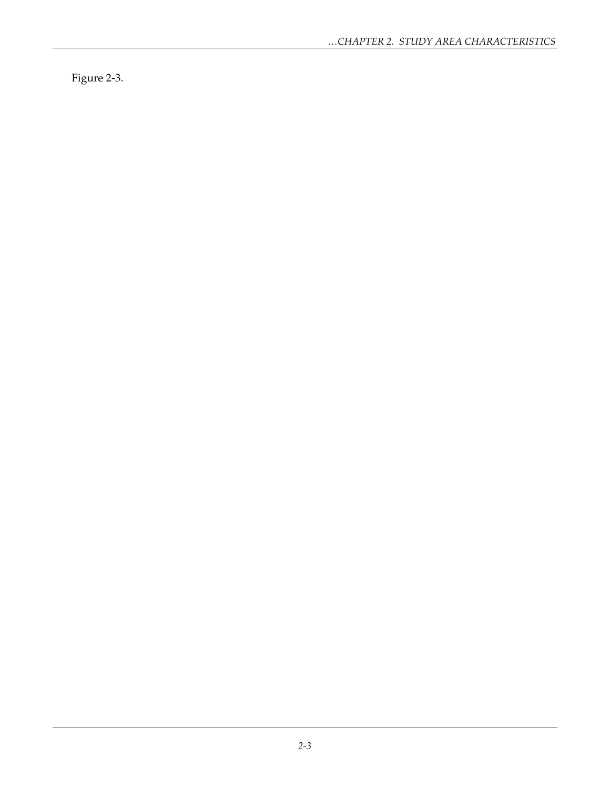Figure 2-3.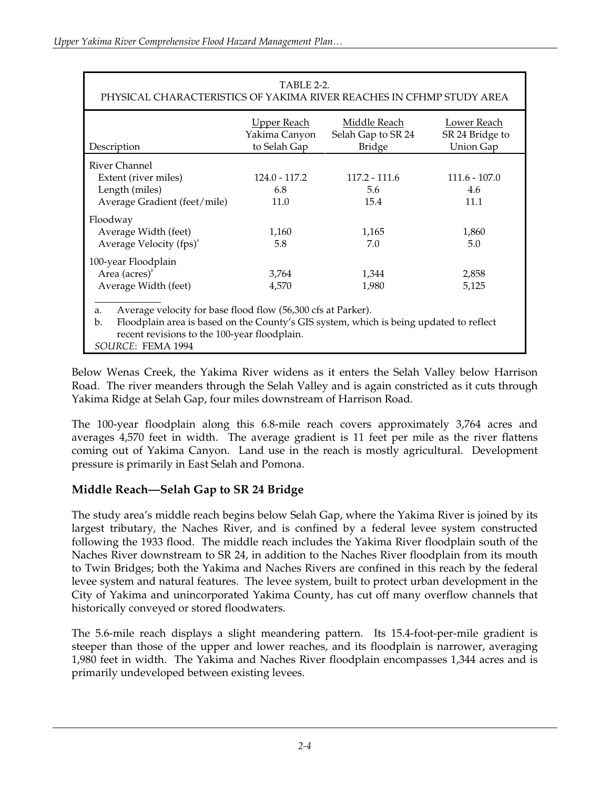| TABLE 2-2.<br>PHYSICAL CHARACTERISTICS OF YAKIMA RIVER REACHES IN CFHMP STUDY AREA                                                                                                                                                                  |                              |                                |                                |  |  |  |  |  |
|-----------------------------------------------------------------------------------------------------------------------------------------------------------------------------------------------------------------------------------------------------|------------------------------|--------------------------------|--------------------------------|--|--|--|--|--|
| Middle Reach<br>Lower Reach<br><u>Upper Reach</u><br>Yakima Canyon<br>Selah Gap to SR 24<br>SR 24 Bridge to<br>to Selah Gap<br><b>Union Gap</b><br><b>Bridge</b><br>Description                                                                     |                              |                                |                                |  |  |  |  |  |
| River Channel<br>Extent (river miles)<br>Length (miles)<br>Average Gradient (feet/mile)                                                                                                                                                             | 124.0 - 117.2<br>6.8<br>11.0 | $117.2 - 111.6$<br>5.6<br>15.4 | $111.6 - 107.0$<br>4.6<br>11.1 |  |  |  |  |  |
| Floodway<br>Average Width (feet)<br>Average Velocity (fps) <sup>a</sup>                                                                                                                                                                             | 1,160<br>5.8                 | 1,165<br>7.0                   | 1,860<br>5.0                   |  |  |  |  |  |
| 100-year Floodplain<br>Area $(a \csc^b)$<br>3,764<br>1,344<br>2,858<br>Average Width (feet)<br>5,125<br>4,570<br>1,980                                                                                                                              |                              |                                |                                |  |  |  |  |  |
| Average velocity for base flood flow (56,300 cfs at Parker).<br>a.<br>Floodplain area is based on the County's GIS system, which is being updated to reflect<br>$\mathbf{b}$ .<br>recent revisions to the 100-year floodplain.<br>SOURCE: FEMA 1994 |                              |                                |                                |  |  |  |  |  |

Below Wenas Creek, the Yakima River widens as it enters the Selah Valley below Harrison Road. The river meanders through the Selah Valley and is again constricted as it cuts through Yakima Ridge at Selah Gap, four miles downstream of Harrison Road.

The 100-year floodplain along this 6.8-mile reach covers approximately 3,764 acres and averages 4,570 feet in width. The average gradient is 11 feet per mile as the river flattens coming out of Yakima Canyon. Land use in the reach is mostly agricultural. Development pressure is primarily in East Selah and Pomona.

## **Middle Reach—Selah Gap to SR 24 Bridge**

The study area's middle reach begins below Selah Gap, where the Yakima River is joined by its largest tributary, the Naches River, and is confined by a federal levee system constructed following the 1933 flood. The middle reach includes the Yakima River floodplain south of the Naches River downstream to SR 24, in addition to the Naches River floodplain from its mouth to Twin Bridges; both the Yakima and Naches Rivers are confined in this reach by the federal levee system and natural features. The levee system, built to protect urban development in the City of Yakima and unincorporated Yakima County, has cut off many overflow channels that historically conveyed or stored floodwaters.

The 5.6-mile reach displays a slight meandering pattern. Its 15.4-foot-per-mile gradient is steeper than those of the upper and lower reaches, and its floodplain is narrower, averaging 1,980 feet in width. The Yakima and Naches River floodplain encompasses 1,344 acres and is primarily undeveloped between existing levees.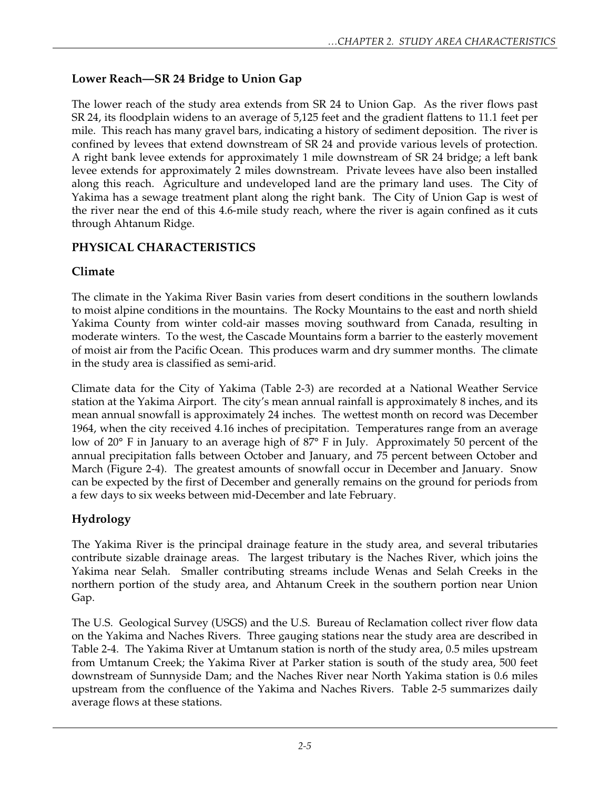# **Lower Reach—SR 24 Bridge to Union Gap**

The lower reach of the study area extends from SR 24 to Union Gap. As the river flows past SR 24, its floodplain widens to an average of 5,125 feet and the gradient flattens to 11.1 feet per mile. This reach has many gravel bars, indicating a history of sediment deposition. The river is confined by levees that extend downstream of SR 24 and provide various levels of protection. A right bank levee extends for approximately 1 mile downstream of SR 24 bridge; a left bank levee extends for approximately 2 miles downstream. Private levees have also been installed along this reach. Agriculture and undeveloped land are the primary land uses. The City of Yakima has a sewage treatment plant along the right bank. The City of Union Gap is west of the river near the end of this 4.6-mile study reach, where the river is again confined as it cuts through Ahtanum Ridge.

## **PHYSICAL CHARACTERISTICS**

## **Climate**

The climate in the Yakima River Basin varies from desert conditions in the southern lowlands to moist alpine conditions in the mountains. The Rocky Mountains to the east and north shield Yakima County from winter cold-air masses moving southward from Canada, resulting in moderate winters. To the west, the Cascade Mountains form a barrier to the easterly movement of moist air from the Pacific Ocean. This produces warm and dry summer months. The climate in the study area is classified as semi-arid.

Climate data for the City of Yakima (Table 2-3) are recorded at a National Weather Service station at the Yakima Airport. The city's mean annual rainfall is approximately 8 inches, and its mean annual snowfall is approximately 24 inches. The wettest month on record was December 1964, when the city received 4.16 inches of precipitation. Temperatures range from an average low of 20° F in January to an average high of 87° F in July. Approximately 50 percent of the annual precipitation falls between October and January, and 75 percent between October and March (Figure 2-4). The greatest amounts of snowfall occur in December and January. Snow can be expected by the first of December and generally remains on the ground for periods from a few days to six weeks between mid-December and late February.

# **Hydrology**

The Yakima River is the principal drainage feature in the study area, and several tributaries contribute sizable drainage areas. The largest tributary is the Naches River, which joins the Yakima near Selah. Smaller contributing streams include Wenas and Selah Creeks in the northern portion of the study area, and Ahtanum Creek in the southern portion near Union Gap.

The U.S. Geological Survey (USGS) and the U.S. Bureau of Reclamation collect river flow data on the Yakima and Naches Rivers. Three gauging stations near the study area are described in Table 2-4. The Yakima River at Umtanum station is north of the study area, 0.5 miles upstream from Umtanum Creek; the Yakima River at Parker station is south of the study area, 500 feet downstream of Sunnyside Dam; and the Naches River near North Yakima station is 0.6 miles upstream from the confluence of the Yakima and Naches Rivers. Table 2-5 summarizes daily average flows at these stations.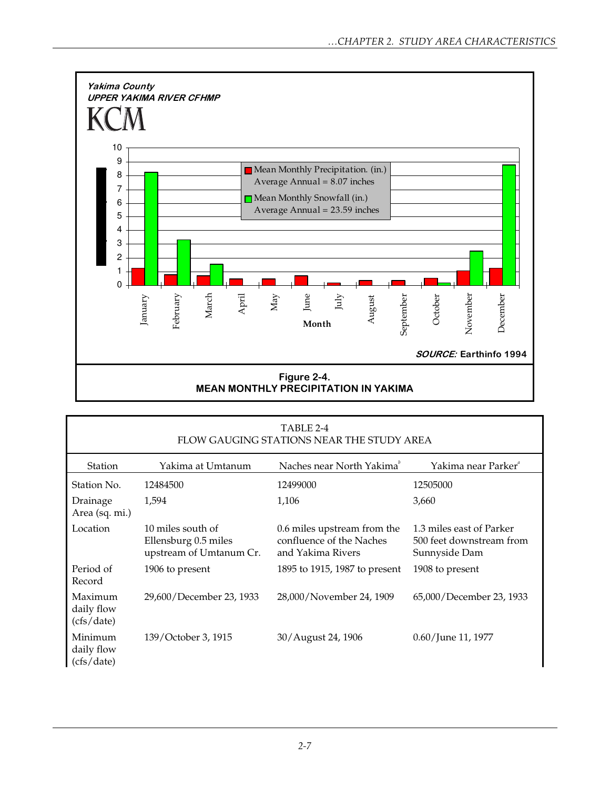

| TABLE 2-4<br>FLOW GAUGING STATIONS NEAR THE STUDY AREA |                                                                      |                                                                              |                                                                       |  |  |  |
|--------------------------------------------------------|----------------------------------------------------------------------|------------------------------------------------------------------------------|-----------------------------------------------------------------------|--|--|--|
| Station                                                | Yakima at Umtanum                                                    | Naches near North Yakima <sup>b</sup>                                        | Yakima near Parker"                                                   |  |  |  |
| Station No.                                            | 12484500                                                             | 12499000                                                                     | 12505000                                                              |  |  |  |
| Drainage<br>Area (sq. mi.)                             | 1,594                                                                | 1,106                                                                        | 3,660                                                                 |  |  |  |
| Location                                               | 10 miles south of<br>Ellensburg 0.5 miles<br>upstream of Umtanum Cr. | 0.6 miles upstream from the<br>confluence of the Naches<br>and Yakima Rivers | 1.3 miles east of Parker<br>500 feet downstream from<br>Sunnyside Dam |  |  |  |
| Period of<br>Record                                    | 1906 to present                                                      | 1895 to 1915, 1987 to present                                                | 1908 to present                                                       |  |  |  |
| Maximum<br>daily flow<br>(cfs/date)                    | 29,600/December 23, 1933                                             | 28,000/November 24, 1909                                                     | 65,000/December 23, 1933                                              |  |  |  |
| Minimum<br>daily flow<br>(cfs/date)                    | 139/October 3, 1915                                                  | 30/August 24, 1906                                                           | 0.60/June 11, 1977                                                    |  |  |  |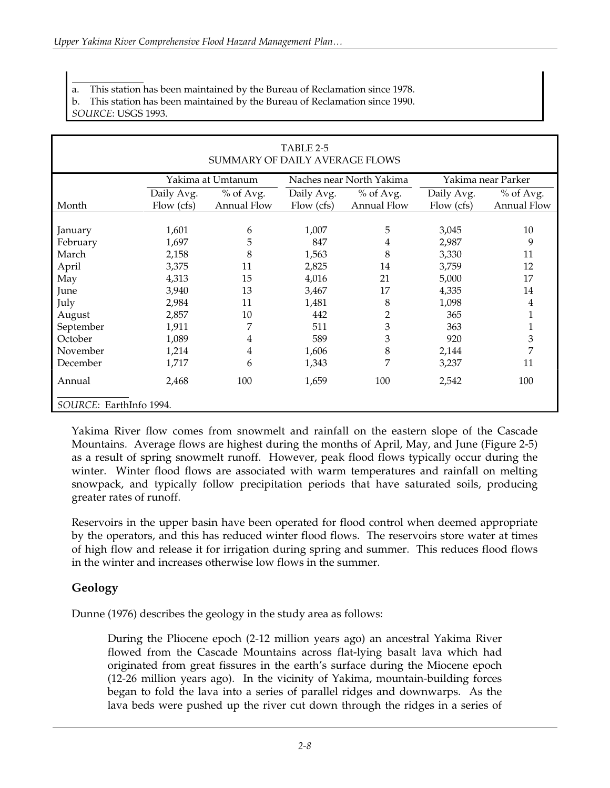*SOURCE*: USGS 1993.

| TABLE 2-5<br>SUMMARY OF DAILY AVERAGE FLOWS |            |                                                                     |            |                    |            |                    |  |
|---------------------------------------------|------------|---------------------------------------------------------------------|------------|--------------------|------------|--------------------|--|
|                                             |            | Yakima at Umtanum<br>Naches near North Yakima<br>Yakima near Parker |            |                    |            |                    |  |
|                                             | Daily Avg. | % of Avg.                                                           | Daily Avg. | % of Avg.          | Daily Avg. | $%$ of Avg.        |  |
| Month                                       | Flow (cfs) | Annual Flow                                                         | Flow (cfs) | <b>Annual Flow</b> | Flow (cfs) | <b>Annual Flow</b> |  |
|                                             |            |                                                                     |            |                    |            |                    |  |
| January                                     | 1,601      | 6                                                                   | 1,007      | 5                  | 3,045      | 10                 |  |
| February                                    | 1,697      | 5                                                                   | 847        | 4                  | 2,987      | 9                  |  |
| March                                       | 2,158      | 8                                                                   | 1,563      | 8                  | 3,330      | 11                 |  |
| April                                       | 3,375      | 11                                                                  | 2,825      | 14                 | 3,759      | 12                 |  |
| May                                         | 4,313      | 15                                                                  | 4,016      | 21                 | 5,000      | 17                 |  |
| June                                        | 3,940      | 13                                                                  | 3,467      | 17                 | 4,335      | 14                 |  |
| July                                        | 2,984      | 11                                                                  | 1,481      | 8                  | 1,098      | 4                  |  |
| August                                      | 2,857      | 10                                                                  | 442        | 2                  | 365        |                    |  |
| September                                   | 1,911      | 7                                                                   | 511        | 3                  | 363        |                    |  |
| October                                     | 1,089      | 4                                                                   | 589        | 3                  | 920        | 3                  |  |
| November                                    | 1,214      | 4                                                                   | 1,606      | 8                  | 2,144      | 7                  |  |
| December                                    | 1,717      | 6                                                                   | 1,343      | 7                  | 3,237      | 11                 |  |
| Annual                                      | 2,468      | 100                                                                 | 1,659      | 100                | 2,542      | 100                |  |
| SOURCE: EarthInfo 1994.                     |            |                                                                     |            |                    |            |                    |  |

Yakima River flow comes from snowmelt and rainfall on the eastern slope of the Cascade Mountains. Average flows are highest during the months of April, May, and June (Figure 2-5) as a result of spring snowmelt runoff. However, peak flood flows typically occur during the winter. Winter flood flows are associated with warm temperatures and rainfall on melting snowpack, and typically follow precipitation periods that have saturated soils, producing greater rates of runoff.

Reservoirs in the upper basin have been operated for flood control when deemed appropriate by the operators, and this has reduced winter flood flows. The reservoirs store water at times of high flow and release it for irrigation during spring and summer. This reduces flood flows in the winter and increases otherwise low flows in the summer.

# **Geology**

Dunne (1976) describes the geology in the study area as follows:

During the Pliocene epoch (2-12 million years ago) an ancestral Yakima River flowed from the Cascade Mountains across flat-lying basalt lava which had originated from great fissures in the earth's surface during the Miocene epoch (12-26 million years ago). In the vicinity of Yakima, mountain-building forces began to fold the lava into a series of parallel ridges and downwarps. As the lava beds were pushed up the river cut down through the ridges in a series of

 $\overline{a}$ a. This station has been maintained by the Bureau of Reclamation since 1978.

b. This station has been maintained by the Bureau of Reclamation since 1990.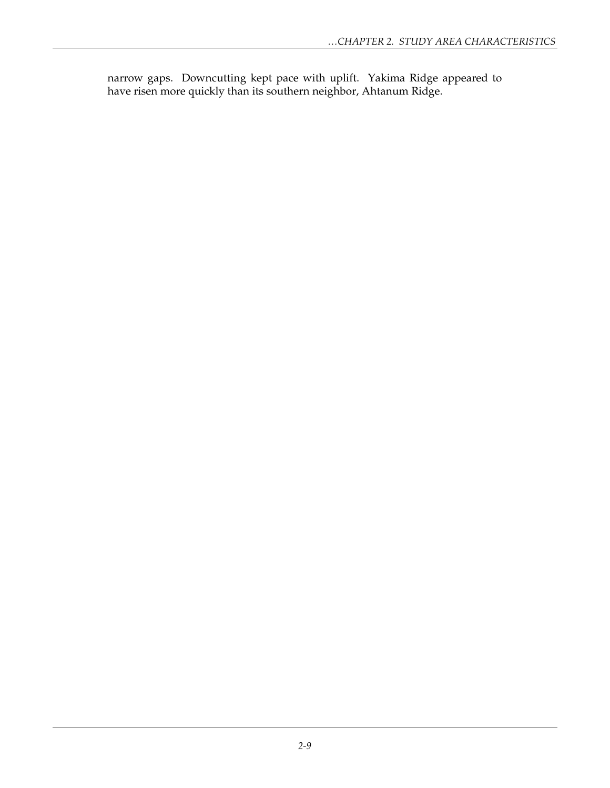narrow gaps. Downcutting kept pace with uplift. Yakima Ridge appeared to have risen more quickly than its southern neighbor, Ahtanum Ridge.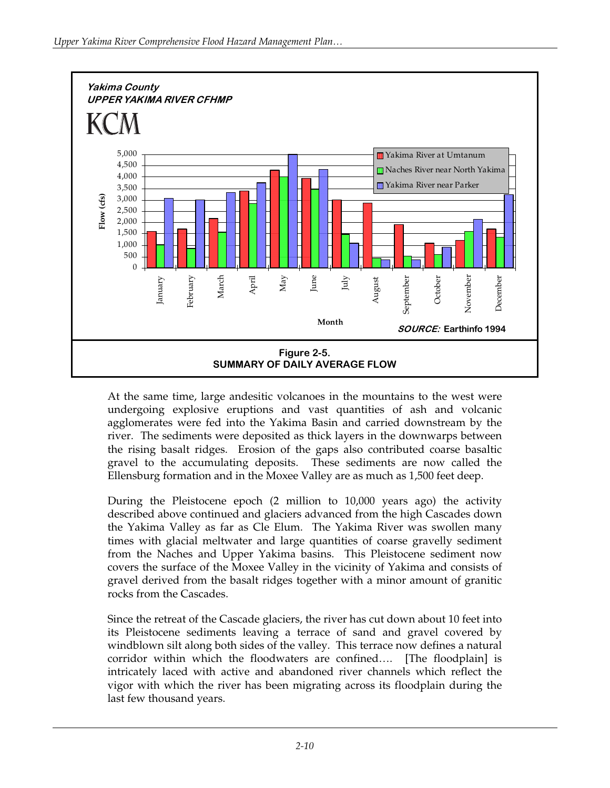

At the same time, large andesitic volcanoes in the mountains to the west were undergoing explosive eruptions and vast quantities of ash and volcanic agglomerates were fed into the Yakima Basin and carried downstream by the river. The sediments were deposited as thick layers in the downwarps between the rising basalt ridges. Erosion of the gaps also contributed coarse basaltic gravel to the accumulating deposits. These sediments are now called the Ellensburg formation and in the Moxee Valley are as much as 1,500 feet deep.

During the Pleistocene epoch (2 million to 10,000 years ago) the activity described above continued and glaciers advanced from the high Cascades down the Yakima Valley as far as Cle Elum. The Yakima River was swollen many times with glacial meltwater and large quantities of coarse gravelly sediment from the Naches and Upper Yakima basins. This Pleistocene sediment now covers the surface of the Moxee Valley in the vicinity of Yakima and consists of gravel derived from the basalt ridges together with a minor amount of granitic rocks from the Cascades.

Since the retreat of the Cascade glaciers, the river has cut down about 10 feet into its Pleistocene sediments leaving a terrace of sand and gravel covered by windblown silt along both sides of the valley. This terrace now defines a natural corridor within which the floodwaters are confined…. [The floodplain] is intricately laced with active and abandoned river channels which reflect the vigor with which the river has been migrating across its floodplain during the last few thousand years.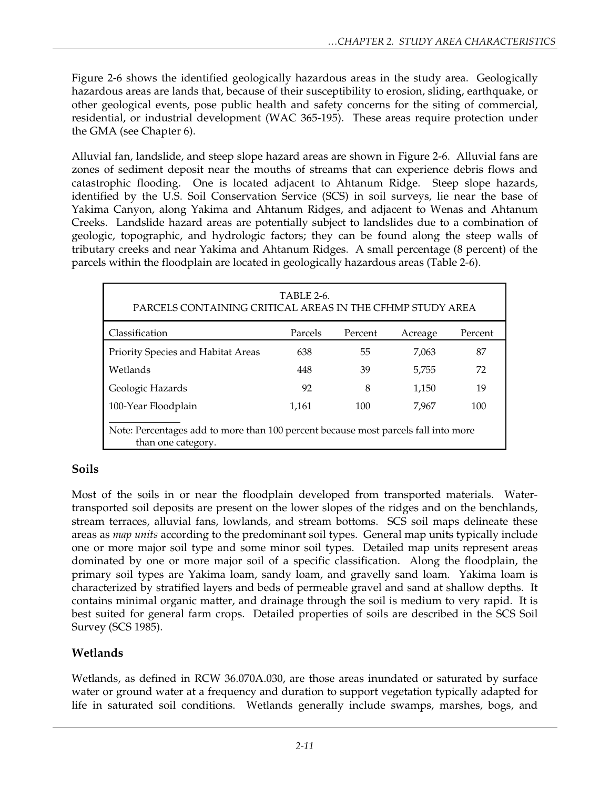Figure 2-6 shows the identified geologically hazardous areas in the study area. Geologically hazardous areas are lands that, because of their susceptibility to erosion, sliding, earthquake, or other geological events, pose public health and safety concerns for the siting of commercial, residential, or industrial development (WAC 365-195). These areas require protection under the GMA (see Chapter 6).

Alluvial fan, landslide, and steep slope hazard areas are shown in Figure 2-6. Alluvial fans are zones of sediment deposit near the mouths of streams that can experience debris flows and catastrophic flooding. One is located adjacent to Ahtanum Ridge. Steep slope hazards, identified by the U.S. Soil Conservation Service (SCS) in soil surveys, lie near the base of Yakima Canyon, along Yakima and Ahtanum Ridges, and adjacent to Wenas and Ahtanum Creeks. Landslide hazard areas are potentially subject to landslides due to a combination of geologic, topographic, and hydrologic factors; they can be found along the steep walls of tributary creeks and near Yakima and Ahtanum Ridges. A small percentage (8 percent) of the parcels within the floodplain are located in geologically hazardous areas (Table 2-6).

| <b>TABLE 2-6.</b><br>PARCELS CONTAINING CRITICAL AREAS IN THE CFHMP STUDY AREA                           |         |         |         |         |  |  |  |
|----------------------------------------------------------------------------------------------------------|---------|---------|---------|---------|--|--|--|
| Classification                                                                                           | Parcels | Percent | Acreage | Percent |  |  |  |
| Priority Species and Habitat Areas                                                                       | 638     | 55      | 7,063   | 87      |  |  |  |
| Wetlands                                                                                                 | 448     | 39      | 5,755   | 72      |  |  |  |
| Geologic Hazards                                                                                         | 92      | 8       | 1,150   | 19      |  |  |  |
| 100-Year Floodplain                                                                                      | 1,161   | 100     | 7.967   | 100     |  |  |  |
| Note: Percentages add to more than 100 percent because most parcels fall into more<br>than one category. |         |         |         |         |  |  |  |

## **Soils**

Most of the soils in or near the floodplain developed from transported materials. Watertransported soil deposits are present on the lower slopes of the ridges and on the benchlands, stream terraces, alluvial fans, lowlands, and stream bottoms. SCS soil maps delineate these areas as *map units* according to the predominant soil types. General map units typically include one or more major soil type and some minor soil types. Detailed map units represent areas dominated by one or more major soil of a specific classification. Along the floodplain, the primary soil types are Yakima loam, sandy loam, and gravelly sand loam. Yakima loam is characterized by stratified layers and beds of permeable gravel and sand at shallow depths. It contains minimal organic matter, and drainage through the soil is medium to very rapid. It is best suited for general farm crops. Detailed properties of soils are described in the SCS Soil Survey (SCS 1985).

# **Wetlands**

Wetlands, as defined in RCW 36.070A.030, are those areas inundated or saturated by surface water or ground water at a frequency and duration to support vegetation typically adapted for life in saturated soil conditions. Wetlands generally include swamps, marshes, bogs, and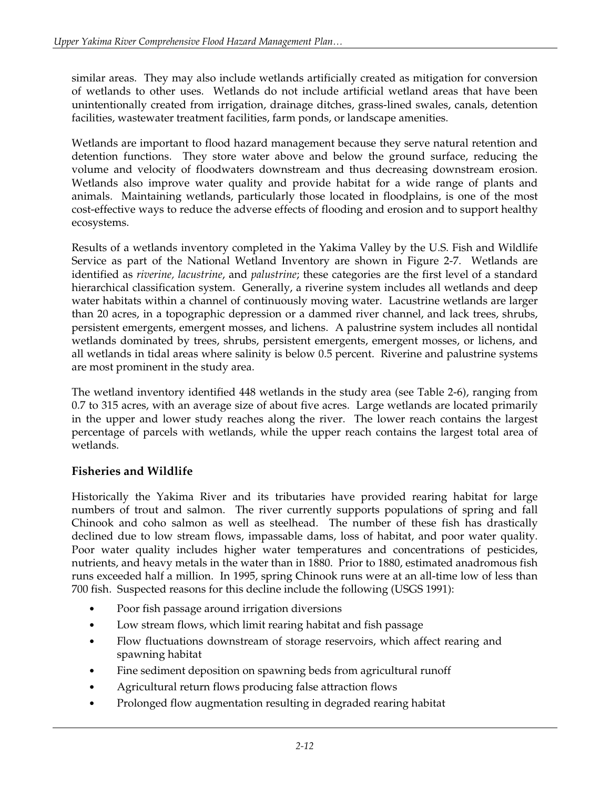similar areas. They may also include wetlands artificially created as mitigation for conversion of wetlands to other uses. Wetlands do not include artificial wetland areas that have been unintentionally created from irrigation, drainage ditches, grass-lined swales, canals, detention facilities, wastewater treatment facilities, farm ponds, or landscape amenities.

Wetlands are important to flood hazard management because they serve natural retention and detention functions. They store water above and below the ground surface, reducing the volume and velocity of floodwaters downstream and thus decreasing downstream erosion. Wetlands also improve water quality and provide habitat for a wide range of plants and animals. Maintaining wetlands, particularly those located in floodplains, is one of the most cost-effective ways to reduce the adverse effects of flooding and erosion and to support healthy ecosystems.

Results of a wetlands inventory completed in the Yakima Valley by the U.S. Fish and Wildlife Service as part of the National Wetland Inventory are shown in Figure 2-7. Wetlands are identified as *riverine, lacustrine*, and *palustrine*; these categories are the first level of a standard hierarchical classification system. Generally, a riverine system includes all wetlands and deep water habitats within a channel of continuously moving water. Lacustrine wetlands are larger than 20 acres, in a topographic depression or a dammed river channel, and lack trees, shrubs, persistent emergents, emergent mosses, and lichens. A palustrine system includes all nontidal wetlands dominated by trees, shrubs, persistent emergents, emergent mosses, or lichens, and all wetlands in tidal areas where salinity is below 0.5 percent. Riverine and palustrine systems are most prominent in the study area.

The wetland inventory identified 448 wetlands in the study area (see Table 2-6), ranging from 0.7 to 315 acres, with an average size of about five acres. Large wetlands are located primarily in the upper and lower study reaches along the river. The lower reach contains the largest percentage of parcels with wetlands, while the upper reach contains the largest total area of wetlands.

## **Fisheries and Wildlife**

Historically the Yakima River and its tributaries have provided rearing habitat for large numbers of trout and salmon. The river currently supports populations of spring and fall Chinook and coho salmon as well as steelhead. The number of these fish has drastically declined due to low stream flows, impassable dams, loss of habitat, and poor water quality. Poor water quality includes higher water temperatures and concentrations of pesticides, nutrients, and heavy metals in the water than in 1880. Prior to 1880, estimated anadromous fish runs exceeded half a million. In 1995, spring Chinook runs were at an all-time low of less than 700 fish. Suspected reasons for this decline include the following (USGS 1991):

- Poor fish passage around irrigation diversions
- Low stream flows, which limit rearing habitat and fish passage
- Flow fluctuations downstream of storage reservoirs, which affect rearing and spawning habitat
- Fine sediment deposition on spawning beds from agricultural runoff
- Agricultural return flows producing false attraction flows
- Prolonged flow augmentation resulting in degraded rearing habitat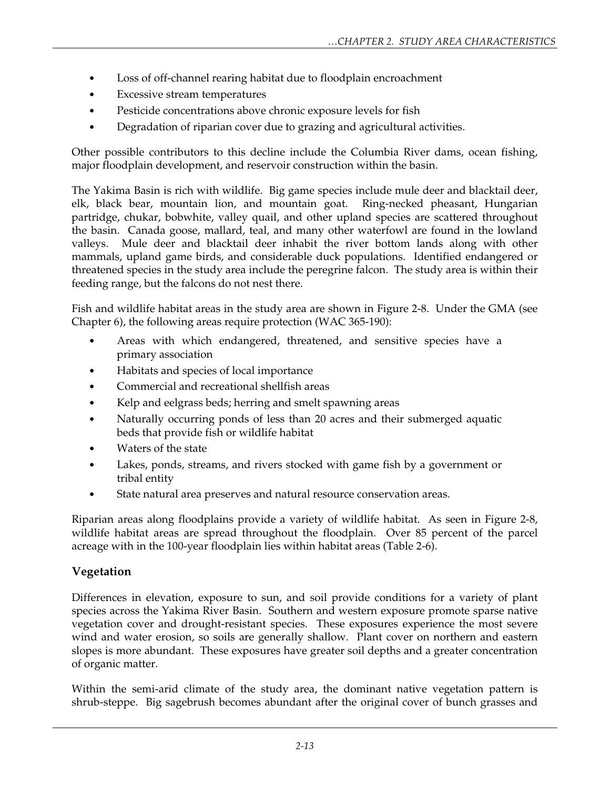- Loss of off-channel rearing habitat due to floodplain encroachment
- Excessive stream temperatures
- Pesticide concentrations above chronic exposure levels for fish
- Degradation of riparian cover due to grazing and agricultural activities.

Other possible contributors to this decline include the Columbia River dams, ocean fishing, major floodplain development, and reservoir construction within the basin.

The Yakima Basin is rich with wildlife. Big game species include mule deer and blacktail deer, elk, black bear, mountain lion, and mountain goat. Ring-necked pheasant, Hungarian partridge, chukar, bobwhite, valley quail, and other upland species are scattered throughout the basin. Canada goose, mallard, teal, and many other waterfowl are found in the lowland valleys. Mule deer and blacktail deer inhabit the river bottom lands along with other mammals, upland game birds, and considerable duck populations. Identified endangered or threatened species in the study area include the peregrine falcon. The study area is within their feeding range, but the falcons do not nest there.

Fish and wildlife habitat areas in the study area are shown in Figure 2-8. Under the GMA (see Chapter 6), the following areas require protection (WAC 365-190):

- Areas with which endangered, threatened, and sensitive species have a primary association
- Habitats and species of local importance
- Commercial and recreational shellfish areas
- Kelp and eelgrass beds; herring and smelt spawning areas
- Naturally occurring ponds of less than 20 acres and their submerged aquatic beds that provide fish or wildlife habitat
- Waters of the state
- Lakes, ponds, streams, and rivers stocked with game fish by a government or tribal entity
- State natural area preserves and natural resource conservation areas.

Riparian areas along floodplains provide a variety of wildlife habitat. As seen in Figure 2-8, wildlife habitat areas are spread throughout the floodplain. Over 85 percent of the parcel acreage with in the 100-year floodplain lies within habitat areas (Table 2-6).

#### **Vegetation**

Differences in elevation, exposure to sun, and soil provide conditions for a variety of plant species across the Yakima River Basin. Southern and western exposure promote sparse native vegetation cover and drought-resistant species. These exposures experience the most severe wind and water erosion, so soils are generally shallow. Plant cover on northern and eastern slopes is more abundant. These exposures have greater soil depths and a greater concentration of organic matter.

Within the semi-arid climate of the study area, the dominant native vegetation pattern is shrub-steppe. Big sagebrush becomes abundant after the original cover of bunch grasses and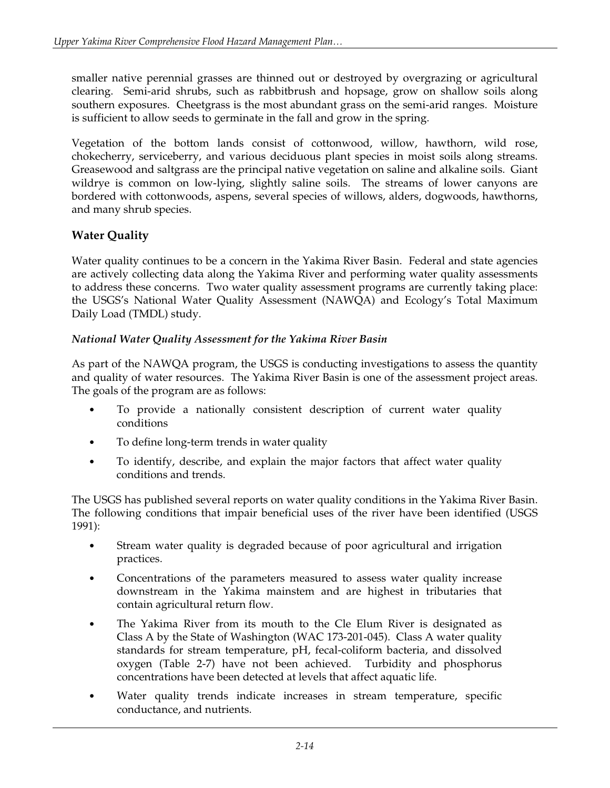smaller native perennial grasses are thinned out or destroyed by overgrazing or agricultural clearing. Semi-arid shrubs, such as rabbitbrush and hopsage, grow on shallow soils along southern exposures. Cheetgrass is the most abundant grass on the semi-arid ranges. Moisture is sufficient to allow seeds to germinate in the fall and grow in the spring.

Vegetation of the bottom lands consist of cottonwood, willow, hawthorn, wild rose, chokecherry, serviceberry, and various deciduous plant species in moist soils along streams. Greasewood and saltgrass are the principal native vegetation on saline and alkaline soils. Giant wildrye is common on low-lying, slightly saline soils. The streams of lower canyons are bordered with cottonwoods, aspens, several species of willows, alders, dogwoods, hawthorns, and many shrub species.

## **Water Quality**

Water quality continues to be a concern in the Yakima River Basin. Federal and state agencies are actively collecting data along the Yakima River and performing water quality assessments to address these concerns. Two water quality assessment programs are currently taking place: the USGS's National Water Quality Assessment (NAWQA) and Ecology's Total Maximum Daily Load (TMDL) study.

#### *National Water Quality Assessment for the Yakima River Basin*

As part of the NAWQA program, the USGS is conducting investigations to assess the quantity and quality of water resources. The Yakima River Basin is one of the assessment project areas. The goals of the program are as follows:

- To provide a nationally consistent description of current water quality conditions
- To define long-term trends in water quality
- To identify, describe, and explain the major factors that affect water quality conditions and trends.

The USGS has published several reports on water quality conditions in the Yakima River Basin. The following conditions that impair beneficial uses of the river have been identified (USGS 1991):

- Stream water quality is degraded because of poor agricultural and irrigation practices.
- Concentrations of the parameters measured to assess water quality increase downstream in the Yakima mainstem and are highest in tributaries that contain agricultural return flow.
- The Yakima River from its mouth to the Cle Elum River is designated as Class A by the State of Washington (WAC 173-201-045). Class A water quality standards for stream temperature, pH, fecal-coliform bacteria, and dissolved oxygen (Table 2-7) have not been achieved. Turbidity and phosphorus concentrations have been detected at levels that affect aquatic life.
- Water quality trends indicate increases in stream temperature, specific conductance, and nutrients.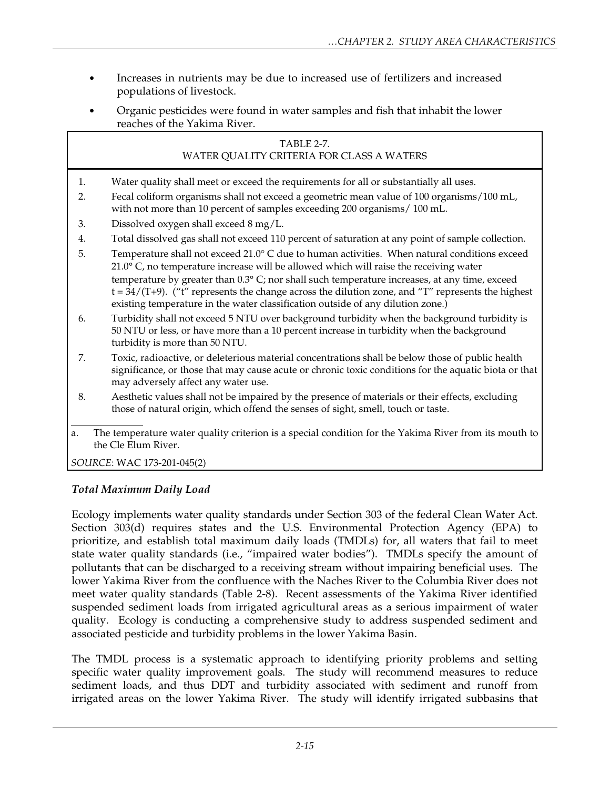- Increases in nutrients may be due to increased use of fertilizers and increased populations of livestock.
- Organic pesticides were found in water samples and fish that inhabit the lower reaches of the Yakima River.

#### TABLE 2-7. WATER QUALITY CRITERIA FOR CLASS A WATERS

- 1. Water quality shall meet or exceed the requirements for all or substantially all uses.
- 2. Fecal coliform organisms shall not exceed a geometric mean value of 100 organisms/100 mL, with not more than 10 percent of samples exceeding 200 organisms/ 100 mL.
- 3. Dissolved oxygen shall exceed 8 mg/L.
- 4. Total dissolved gas shall not exceed 110 percent of saturation at any point of sample collection.
- 5. Temperature shall not exceed 21.0° C due to human activities. When natural conditions exceed 21.0° C, no temperature increase will be allowed which will raise the receiving water temperature by greater than 0.3° C; nor shall such temperature increases, at any time, exceed  $t = 34/(T+9)$ . ("t" represents the change across the dilution zone, and "T" represents the highest existing temperature in the water classification outside of any dilution zone.)
- 6. Turbidity shall not exceed 5 NTU over background turbidity when the background turbidity is 50 NTU or less, or have more than a 10 percent increase in turbidity when the background turbidity is more than 50 NTU.
- 7. Toxic, radioactive, or deleterious material concentrations shall be below those of public health significance, or those that may cause acute or chronic toxic conditions for the aquatic biota or that may adversely affect any water use.
- 8. Aesthetic values shall not be impaired by the presence of materials or their effects, excluding those of natural origin, which offend the senses of sight, smell, touch or taste.
- $\overline{a}$ a. The temperature water quality criterion is a special condition for the Yakima River from its mouth to the Cle Elum River.

*SOURCE*: WAC 173-201-045(2)

#### *Total Maximum Daily Load*

Ecology implements water quality standards under Section 303 of the federal Clean Water Act. Section 303(d) requires states and the U.S. Environmental Protection Agency (EPA) to prioritize, and establish total maximum daily loads (TMDLs) for, all waters that fail to meet state water quality standards (i.e., "impaired water bodies"). TMDLs specify the amount of pollutants that can be discharged to a receiving stream without impairing beneficial uses. The lower Yakima River from the confluence with the Naches River to the Columbia River does not meet water quality standards (Table 2-8). Recent assessments of the Yakima River identified suspended sediment loads from irrigated agricultural areas as a serious impairment of water quality. Ecology is conducting a comprehensive study to address suspended sediment and associated pesticide and turbidity problems in the lower Yakima Basin.

The TMDL process is a systematic approach to identifying priority problems and setting specific water quality improvement goals. The study will recommend measures to reduce sediment loads, and thus DDT and turbidity associated with sediment and runoff from irrigated areas on the lower Yakima River. The study will identify irrigated subbasins that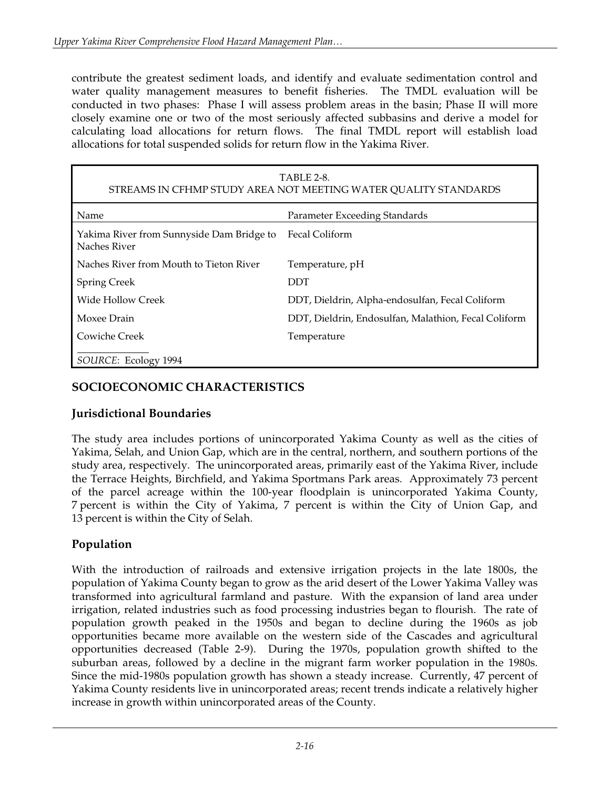contribute the greatest sediment loads, and identify and evaluate sedimentation control and water quality management measures to benefit fisheries. The TMDL evaluation will be conducted in two phases: Phase I will assess problem areas in the basin; Phase II will more closely examine one or two of the most seriously affected subbasins and derive a model for calculating load allocations for return flows. The final TMDL report will establish load allocations for total suspended solids for return flow in the Yakima River.

| <b>TABLE 2-8.</b><br>STREAMS IN CFHMP STUDY AREA NOT MEETING WATER QUALITY STANDARDS |                                                      |  |  |  |  |
|--------------------------------------------------------------------------------------|------------------------------------------------------|--|--|--|--|
| Name                                                                                 | Parameter Exceeding Standards                        |  |  |  |  |
| Yakima River from Sunnyside Dam Bridge to<br>Naches River                            | Fecal Coliform                                       |  |  |  |  |
| Naches River from Mouth to Tieton River                                              | Temperature, pH                                      |  |  |  |  |
| <b>Spring Creek</b>                                                                  | DDT                                                  |  |  |  |  |
| Wide Hollow Creek                                                                    | DDT, Dieldrin, Alpha-endosulfan, Fecal Coliform      |  |  |  |  |
| Moxee Drain                                                                          | DDT, Dieldrin, Endosulfan, Malathion, Fecal Coliform |  |  |  |  |
| Cowiche Creek                                                                        | Temperature                                          |  |  |  |  |
| SOURCE: Ecology 1994                                                                 |                                                      |  |  |  |  |

### **SOCIOECONOMIC CHARACTERISTICS**

#### **Jurisdictional Boundaries**

The study area includes portions of unincorporated Yakima County as well as the cities of Yakima, Selah, and Union Gap, which are in the central, northern, and southern portions of the study area, respectively. The unincorporated areas, primarily east of the Yakima River, include the Terrace Heights, Birchfield, and Yakima Sportmans Park areas. Approximately 73 percent of the parcel acreage within the 100-year floodplain is unincorporated Yakima County, 7 percent is within the City of Yakima, 7 percent is within the City of Union Gap, and 13 percent is within the City of Selah.

## **Population**

With the introduction of railroads and extensive irrigation projects in the late 1800s, the population of Yakima County began to grow as the arid desert of the Lower Yakima Valley was transformed into agricultural farmland and pasture. With the expansion of land area under irrigation, related industries such as food processing industries began to flourish. The rate of population growth peaked in the 1950s and began to decline during the 1960s as job opportunities became more available on the western side of the Cascades and agricultural opportunities decreased (Table 2-9). During the 1970s, population growth shifted to the suburban areas, followed by a decline in the migrant farm worker population in the 1980s. Since the mid-1980s population growth has shown a steady increase. Currently, 47 percent of Yakima County residents live in unincorporated areas; recent trends indicate a relatively higher increase in growth within unincorporated areas of the County.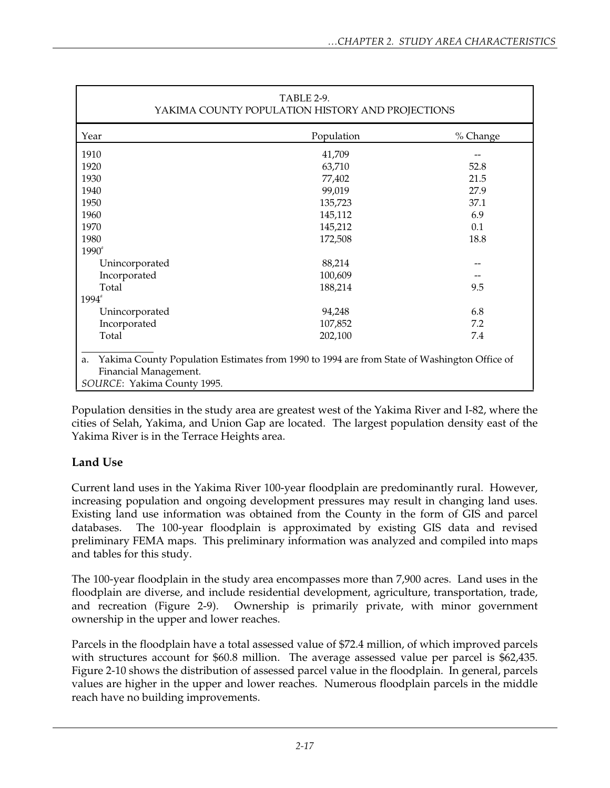| TABLE 2-9.<br>YAKIMA COUNTY POPULATION HISTORY AND PROJECTIONS                                                                                            |            |          |  |  |  |
|-----------------------------------------------------------------------------------------------------------------------------------------------------------|------------|----------|--|--|--|
| Year                                                                                                                                                      | Population | % Change |  |  |  |
| 1910                                                                                                                                                      | 41,709     |          |  |  |  |
| 1920                                                                                                                                                      | 63,710     | 52.8     |  |  |  |
| 1930                                                                                                                                                      | 77,402     | 21.5     |  |  |  |
| 1940                                                                                                                                                      | 99,019     | 27.9     |  |  |  |
| 1950                                                                                                                                                      | 135,723    | 37.1     |  |  |  |
| 1960                                                                                                                                                      | 145,112    | 6.9      |  |  |  |
| 1970                                                                                                                                                      | 145,212    | 0.1      |  |  |  |
| 1980                                                                                                                                                      | 172,508    | 18.8     |  |  |  |
| $1990^{\circ}$                                                                                                                                            |            |          |  |  |  |
| Unincorporated                                                                                                                                            | 88,214     |          |  |  |  |
| Incorporated                                                                                                                                              | 100,609    |          |  |  |  |
| Total                                                                                                                                                     | 188,214    | 9.5      |  |  |  |
| $1994^{\circ}$                                                                                                                                            |            |          |  |  |  |
| Unincorporated                                                                                                                                            | 94,248     | 6.8      |  |  |  |
| Incorporated                                                                                                                                              | 107,852    | 7.2      |  |  |  |
| Total                                                                                                                                                     | 202,100    | 7.4      |  |  |  |
| Yakima County Population Estimates from 1990 to 1994 are from State of Washington Office of<br>a.<br>Financial Management.<br>SOURCE: Yakima County 1995. |            |          |  |  |  |

Population densities in the study area are greatest west of the Yakima River and I-82, where the cities of Selah, Yakima, and Union Gap are located. The largest population density east of the Yakima River is in the Terrace Heights area.

## **Land Use**

Current land uses in the Yakima River 100-year floodplain are predominantly rural. However, increasing population and ongoing development pressures may result in changing land uses. Existing land use information was obtained from the County in the form of GIS and parcel databases. The 100-year floodplain is approximated by existing GIS data and revised preliminary FEMA maps. This preliminary information was analyzed and compiled into maps and tables for this study.

The 100-year floodplain in the study area encompasses more than 7,900 acres. Land uses in the floodplain are diverse, and include residential development, agriculture, transportation, trade, and recreation (Figure 2-9). Ownership is primarily private, with minor government ownership in the upper and lower reaches.

Parcels in the floodplain have a total assessed value of \$72.4 million, of which improved parcels with structures account for \$60.8 million. The average assessed value per parcel is \$62,435. Figure 2-10 shows the distribution of assessed parcel value in the floodplain. In general, parcels values are higher in the upper and lower reaches. Numerous floodplain parcels in the middle reach have no building improvements.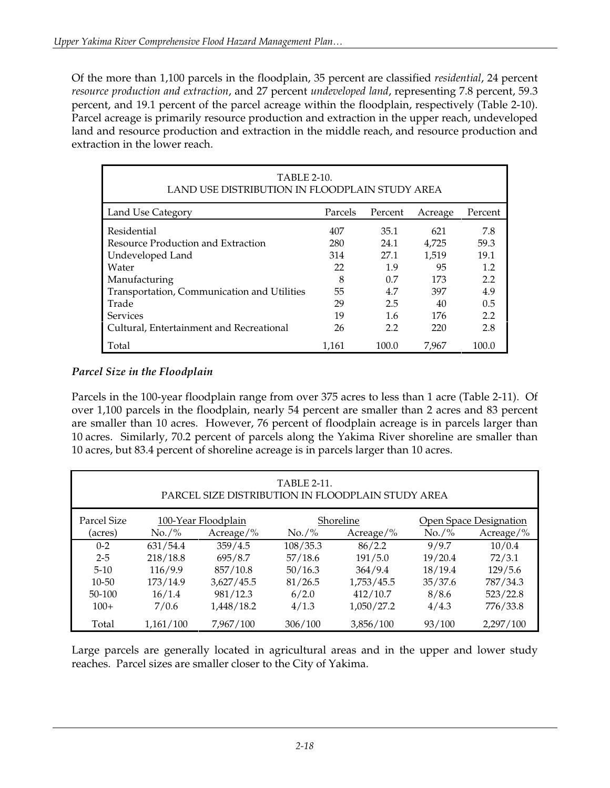Of the more than 1,100 parcels in the floodplain, 35 percent are classified *residential*, 24 percent *resource production and extraction*, and 27 percent *undeveloped land*, representing 7.8 percent, 59.3 percent, and 19.1 percent of the parcel acreage within the floodplain, respectively (Table 2-10). Parcel acreage is primarily resource production and extraction in the upper reach, undeveloped land and resource production and extraction in the middle reach, and resource production and extraction in the lower reach.

| <b>TABLE 2-10.</b><br>LAND USE DISTRIBUTION IN FLOODPLAIN STUDY AREA |         |         |         |         |  |  |
|----------------------------------------------------------------------|---------|---------|---------|---------|--|--|
| Land Use Category                                                    | Parcels | Percent | Acreage | Percent |  |  |
| Residential                                                          | 407     | 35.1    | 621     | 7.8     |  |  |
| Resource Production and Extraction                                   | 280     | 24.1    | 4.725   | 59.3    |  |  |
| Undeveloped Land                                                     | 314     | 27.1    | 1.519   | 19.1    |  |  |
| Water                                                                | 22      | 1.9     | 95      | 1.2     |  |  |
| Manufacturing                                                        | 8       | 0.7     | 173     | 2.2     |  |  |
| Transportation, Communication and Utilities                          | 55      | 4.7     | 397     | 4.9     |  |  |
| Trade                                                                | 29      | 2.5     | 40      | 0.5     |  |  |
| <b>Services</b>                                                      | 19      | 1.6     | 176     | 2.2     |  |  |
| Cultural, Entertainment and Recreational                             | 26      | 2.2     | 220     | 2.8     |  |  |
| Total                                                                | 1.161   | 100.0   | 7.967   | 100.0   |  |  |

#### *Parcel Size in the Floodplain*

Parcels in the 100-year floodplain range from over 375 acres to less than 1 acre (Table 2-11). Of over 1,100 parcels in the floodplain, nearly 54 percent are smaller than 2 acres and 83 percent are smaller than 10 acres. However, 76 percent of floodplain acreage is in parcels larger than 10 acres. Similarly, 70.2 percent of parcels along the Yakima River shoreline are smaller than 10 acres, but 83.4 percent of shoreline acreage is in parcels larger than 10 acres.

| <b>TABLE 2-11.</b><br>PARCEL SIZE DISTRIBUTION IN FLOODPLAIN STUDY AREA   |                |               |              |               |            |           |  |
|---------------------------------------------------------------------------|----------------|---------------|--------------|---------------|------------|-----------|--|
| Parcel Size<br>100-Year Floodplain<br>Shoreline<br>Open Space Designation |                |               |              |               |            |           |  |
| (acres)                                                                   | $\rm No. / \%$ | Acreage/ $\%$ | $\rm No./\%$ | Acreage/ $\%$ | $No. / \%$ | Acreage/% |  |
| $0 - 2$                                                                   | 631/54.4       | 359/4.5       | 108/35.3     | 86/2.2        | 9/9.7      | 10/0.4    |  |
| $2 - 5$                                                                   | 218/18.8       | 695/8.7       | 57/18.6      | 191/5.0       | 19/20.4    | 72/3.1    |  |
| $5 - 10$                                                                  | 116/9.9        | 857/10.8      | 50/16.3      | 364/9.4       | 18/19.4    | 129/5.6   |  |
| $10 - 50$                                                                 | 173/14.9       | 3,627/45.5    | 81/26.5      | 1,753/45.5    | 35/37.6    | 787/34.3  |  |
| 50-100                                                                    | 16/1.4         | 981/12.3      | 6/2.0        | 412/10.7      | 8/8.6      | 523/22.8  |  |
| $100+$                                                                    | 7/0.6          | 1,448/18.2    | 4/1.3        | 1,050/27.2    | 4/4.3      | 776/33.8  |  |
| Total                                                                     | 1,161/100      | 7.967/100     | 306/100      | 3,856/100     | 93/100     | 2,297/100 |  |

Large parcels are generally located in agricultural areas and in the upper and lower study reaches. Parcel sizes are smaller closer to the City of Yakima.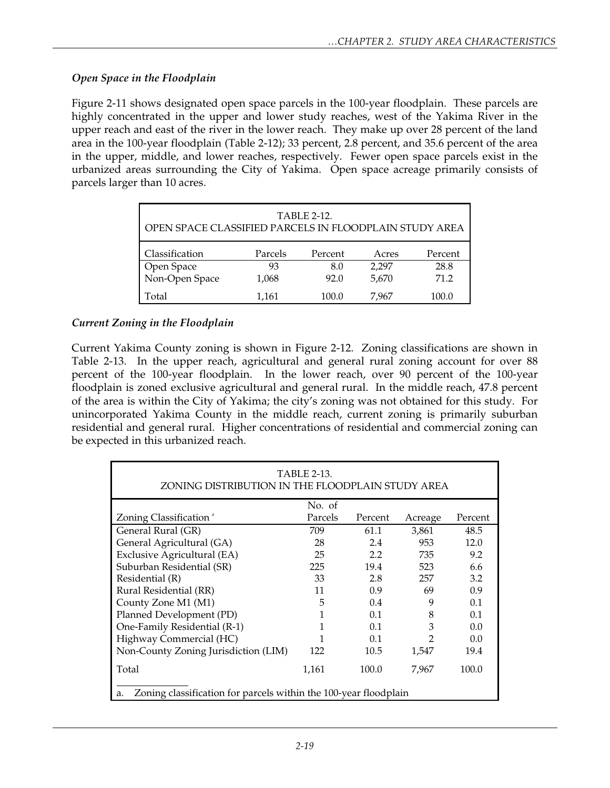#### *Open Space in the Floodplain*

Figure 2-11 shows designated open space parcels in the 100-year floodplain. These parcels are highly concentrated in the upper and lower study reaches, west of the Yakima River in the upper reach and east of the river in the lower reach. They make up over 28 percent of the land area in the 100-year floodplain (Table 2-12); 33 percent, 2.8 percent, and 35.6 percent of the area in the upper, middle, and lower reaches, respectively. Fewer open space parcels exist in the urbanized areas surrounding the City of Yakima. Open space acreage primarily consists of parcels larger than 10 acres.

| <b>TABLE 2-12.</b><br>OPEN SPACE CLASSIFIED PARCELS IN FLOODPLAIN STUDY AREA |         |         |       |         |  |  |  |
|------------------------------------------------------------------------------|---------|---------|-------|---------|--|--|--|
| Classification                                                               | Parcels | Percent | Acres | Percent |  |  |  |
| Open Space                                                                   | 93      | 8.0     | 2,297 | 28.8    |  |  |  |
| Non-Open Space                                                               | 1,068   | 92.0    | 5,670 | 71.2    |  |  |  |
| Total                                                                        | 1,161   | 100.0   | 7.967 | 100.0   |  |  |  |

## *Current Zoning in the Floodplain*

Current Yakima County zoning is shown in Figure 2-12. Zoning classifications are shown in Table 2-13. In the upper reach, agricultural and general rural zoning account for over 88 percent of the 100-year floodplain. In the lower reach, over 90 percent of the 100-year floodplain is zoned exclusive agricultural and general rural. In the middle reach, 47.8 percent of the area is within the City of Yakima; the city's zoning was not obtained for this study. For unincorporated Yakima County in the middle reach, current zoning is primarily suburban residential and general rural. Higher concentrations of residential and commercial zoning can be expected in this urbanized reach.

| <b>TABLE 2-13.</b><br>ZONING DISTRIBUTION IN THE FLOODPLAIN STUDY AREA |         |         |         |         |  |  |  |
|------------------------------------------------------------------------|---------|---------|---------|---------|--|--|--|
|                                                                        | No. of  |         |         |         |  |  |  |
| Zoning Classification <sup>®</sup>                                     | Parcels | Percent | Acreage | Percent |  |  |  |
| General Rural (GR)                                                     | 709     | 61.1    | 3,861   | 48.5    |  |  |  |
| General Agricultural (GA)                                              | 28      | 2.4     | 953     | 12.0    |  |  |  |
| Exclusive Agricultural (EA)                                            | 25      | 2.2     | 735     | 9.2     |  |  |  |
| Suburban Residential (SR)                                              | 225     | 19.4    | 523     | 6.6     |  |  |  |
| Residential (R)                                                        | 33      | 2.8     | 257     | 3.2     |  |  |  |
| Rural Residential (RR)                                                 | 11      | 0.9     | 69      | 0.9     |  |  |  |
| County Zone M1 (M1)                                                    | 5       | 0.4     | 9       | 0.1     |  |  |  |
| Planned Development (PD)                                               | 1       | 0.1     | 8       | 0.1     |  |  |  |
| One-Family Residential (R-1)                                           | 1       | 0.1     | 3       | 0.0     |  |  |  |
| Highway Commercial (HC)                                                |         | 0.1     | 2       | 0.0     |  |  |  |
| Non-County Zoning Jurisdiction (LIM)                                   | 122     | 10.5    | 1,547   | 19.4    |  |  |  |
| Total                                                                  | 1,161   | 100.0   | 7,967   | 100.0   |  |  |  |
| Zoning classification for parcels within the 100-year floodplain<br>a. |         |         |         |         |  |  |  |